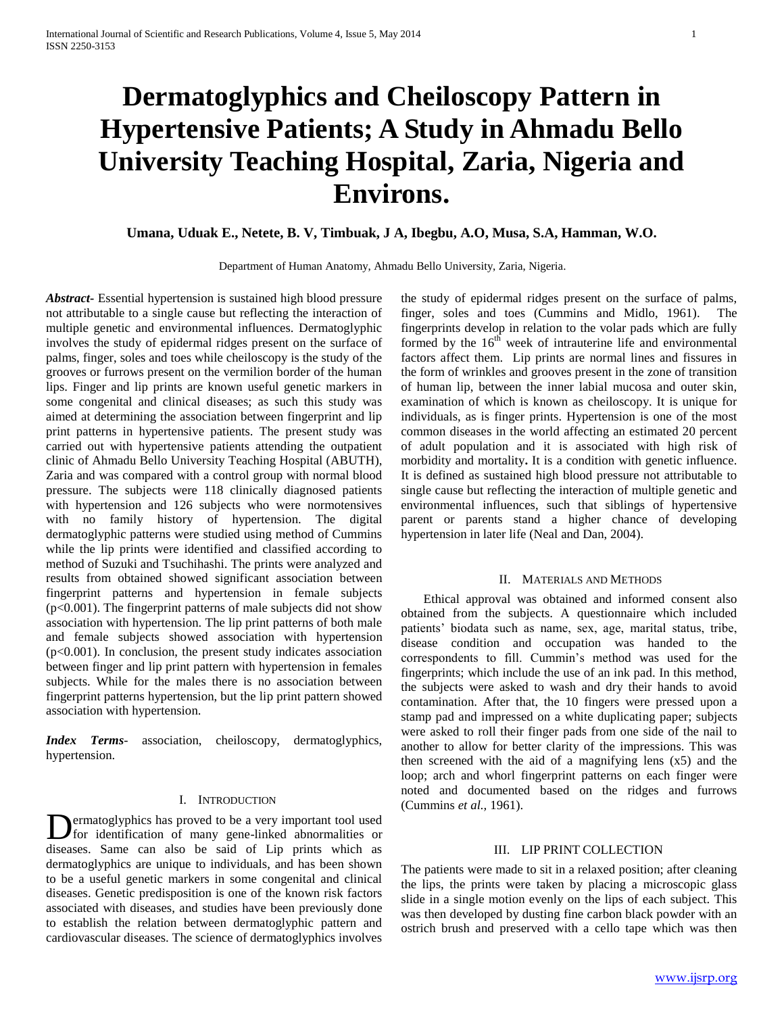# **Dermatoglyphics and Cheiloscopy Pattern in Hypertensive Patients; A Study in Ahmadu Bello University Teaching Hospital, Zaria, Nigeria and Environs.**

# **Umana, Uduak E., Netete, B. V, Timbuak, J A, Ibegbu, A.O, Musa, S.A, Hamman, W.O.**

Department of Human Anatomy, Ahmadu Bello University, Zaria, Nigeria.

*Abstract***-** Essential hypertension is sustained high blood pressure not attributable to a single cause but reflecting the interaction of multiple genetic and environmental influences. Dermatoglyphic involves the study of epidermal ridges present on the surface of palms, finger, soles and toes while cheiloscopy is the study of the grooves or furrows present on the vermilion border of the human lips. Finger and lip prints are known useful genetic markers in some congenital and clinical diseases; as such this study was aimed at determining the association between fingerprint and lip print patterns in hypertensive patients. The present study was carried out with hypertensive patients attending the outpatient clinic of Ahmadu Bello University Teaching Hospital (ABUTH), Zaria and was compared with a control group with normal blood pressure. The subjects were 118 clinically diagnosed patients with hypertension and 126 subjects who were normotensives with no family history of hypertension. The digital dermatoglyphic patterns were studied using method of Cummins while the lip prints were identified and classified according to method of Suzuki and Tsuchihashi. The prints were analyzed and results from obtained showed significant association between fingerprint patterns and hypertension in female subjects  $(p<0.001)$ . The fingerprint patterns of male subjects did not show association with hypertension. The lip print patterns of both male and female subjects showed association with hypertension  $(p<0.001)$ . In conclusion, the present study indicates association between finger and lip print pattern with hypertension in females subjects. While for the males there is no association between fingerprint patterns hypertension, but the lip print pattern showed association with hypertension.

*Index Terms*- association, cheiloscopy, dermatoglyphics, hypertension.

## I. INTRODUCTION

**D**ermatoglyphics has proved to be a very important tool used<br>for identification of many gene-linked abnormalities or for identification of many gene-linked abnormalities or diseases. Same can also be said of Lip prints which as dermatoglyphics are unique to individuals, and has been shown to be a useful genetic markers in some congenital and clinical diseases. Genetic predisposition is one of the known risk factors associated with diseases, and studies have been previously done to establish the relation between dermatoglyphic pattern and cardiovascular diseases. The science of dermatoglyphics involves

the study of epidermal ridges present on the surface of palms, finger, soles and toes (Cummins and Midlo, 1961). The fingerprints develop in relation to the volar pads which are fully formed by the  $16<sup>th</sup>$  week of intrauterine life and environmental factors affect them. Lip prints are normal lines and fissures in the form of wrinkles and grooves present in the zone of transition of human lip, between the inner labial mucosa and outer skin, examination of which is known as cheiloscopy. It is unique for individuals, as is finger prints. Hypertension is one of the most common diseases in the world affecting an estimated 20 percent of adult population and it is associated with high risk of morbidity and mortality**.** It is a condition with genetic influence. It is defined as sustained high blood pressure not attributable to single cause but reflecting the interaction of multiple genetic and environmental influences, such that siblings of hypertensive parent or parents stand a higher chance of developing hypertension in later life (Neal and Dan, 2004).

#### II. MATERIALS AND METHODS

 Ethical approval was obtained and informed consent also obtained from the subjects. A questionnaire which included patients' biodata such as name, sex, age, marital status, tribe, disease condition and occupation was handed to the correspondents to fill. Cummin's method was used for the fingerprints; which include the use of an ink pad. In this method, the subjects were asked to wash and dry their hands to avoid contamination. After that, the 10 fingers were pressed upon a stamp pad and impressed on a white duplicating paper; subjects were asked to roll their finger pads from one side of the nail to another to allow for better clarity of the impressions. This was then screened with the aid of a magnifying lens (x5) and the loop; arch and whorl fingerprint patterns on each finger were noted and documented based on the ridges and furrows (Cummins *et al.,* 1961).

#### III. LIP PRINT COLLECTION

The patients were made to sit in a relaxed position; after cleaning the lips, the prints were taken by placing a microscopic glass slide in a single motion evenly on the lips of each subject. This was then developed by dusting fine carbon black powder with an ostrich brush and preserved with a cello tape which was then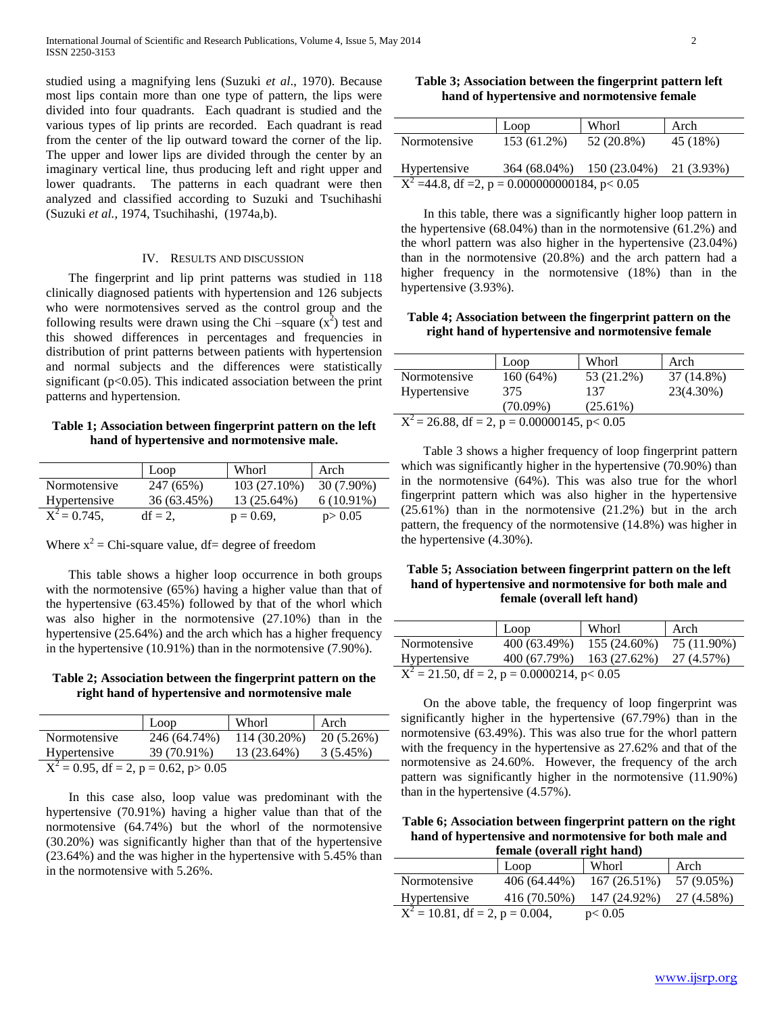studied using a magnifying lens (Suzuki *et al*., 1970). Because most lips contain more than one type of pattern, the lips were divided into four quadrants. Each quadrant is studied and the various types of lip prints are recorded. Each quadrant is read from the center of the lip outward toward the corner of the lip. The upper and lower lips are divided through the center by an imaginary vertical line, thus producing left and right upper and lower quadrants. The patterns in each quadrant were then analyzed and classified according to Suzuki and Tsuchihashi (Suzuki *et al.,* 1974, Tsuchihashi, (1974a,b).

#### IV. RESULTS AND DISCUSSION

 The fingerprint and lip print patterns was studied in 118 clinically diagnosed patients with hypertension and 126 subjects who were normotensives served as the control group and the following results were drawn using the Chi  $-\text{square}$  (x<sup>2</sup>) test and this showed differences in percentages and frequencies in distribution of print patterns between patients with hypertension and normal subjects and the differences were statistically significant ( $p<0.05$ ). This indicated association between the print patterns and hypertension.

### **Table 1; Association between fingerprint pattern on the left hand of hypertensive and normotensive male.**

|                 | Loop        | Whorl        | Arch         |
|-----------------|-------------|--------------|--------------|
| Normotensive    | 247 (65%)   | 103 (27.10%) | 30 (7.90%)   |
| Hypertensive    | 36 (63.45%) | 13 (25.64%)  | $6(10.91\%)$ |
| $X^2 = 0.745$ , | $df = 2$ ,  | $p = 0.69$ , | p > 0.05     |

Where  $x^2$  = Chi-square value, df = degree of freedom

 This table shows a higher loop occurrence in both groups with the normotensive (65%) having a higher value than that of the hypertensive (63.45%) followed by that of the whorl which was also higher in the normotensive (27.10%) than in the hypertensive (25.64%) and the arch which has a higher frequency in the hypertensive (10.91%) than in the normotensive (7.90%).

### **Table 2; Association between the fingerprint pattern on the right hand of hypertensive and normotensive male**

|                                           | Loop         | Whorl        | Arch        |  |  |  |  |
|-------------------------------------------|--------------|--------------|-------------|--|--|--|--|
| Normotensive                              | 246 (64.74%) | 114 (30.20%) | 20 (5.26%)  |  |  |  |  |
| Hypertensive                              | 39 (70.91%)  | 13 (23.64%)  | $3(5.45\%)$ |  |  |  |  |
| $X^2 = 0.95$ , df = 2, p = 0.62, p > 0.05 |              |              |             |  |  |  |  |

 In this case also, loop value was predominant with the hypertensive (70.91%) having a higher value than that of the normotensive (64.74%) but the whorl of the normotensive (30.20%) was significantly higher than that of the hypertensive (23.64%) and the was higher in the hypertensive with 5.45% than in the normotensive with 5.26%.

**Table 3; Association between the fingerprint pattern left hand of hypertensive and normotensive female**

|                                                     | Loop        | Whorl                                | Arch     |  |  |  |
|-----------------------------------------------------|-------------|--------------------------------------|----------|--|--|--|
| Normotensive                                        | 153 (61.2%) | 52 (20.8%)                           | 45 (18%) |  |  |  |
| Hypertensive                                        |             | 364 (68.04%) 150 (23.04%) 21 (3.93%) |          |  |  |  |
| $X^2 = 44.8$ , df = 2, p = 0.000000000184, p < 0.05 |             |                                      |          |  |  |  |

 In this table, there was a significantly higher loop pattern in the hypertensive (68.04%) than in the normotensive (61.2%) and the whorl pattern was also higher in the hypertensive (23.04%) than in the normotensive (20.8%) and the arch pattern had a higher frequency in the normotensive (18%) than in the hypertensive (3.93%).

#### **Table 4; Association between the fingerprint pattern on the right hand of hypertensive and normotensive female**

|                                                  | Loop        | Whorl      | Arch       |  |  |  |  |
|--------------------------------------------------|-------------|------------|------------|--|--|--|--|
| Normotensive                                     | $160(64\%)$ | 53 (21.2%) | 37 (14.8%) |  |  |  |  |
| Hypertensive                                     | 375         | 137        | 23(4.30%)  |  |  |  |  |
| $(70.09\%)$<br>$(25.61\%)$                       |             |            |            |  |  |  |  |
| $X^2 = 26.88$ , df = 2, p = 0.00000145, p < 0.05 |             |            |            |  |  |  |  |

 Table 3 shows a higher frequency of loop fingerprint pattern which was significantly higher in the hypertensive (70.90%) than in the normotensive (64%). This was also true for the whorl fingerprint pattern which was also higher in the hypertensive (25.61%) than in the normotensive (21.2%) but in the arch pattern, the frequency of the normotensive (14.8%) was higher in the hypertensive (4.30%).

### **Table 5; Association between fingerprint pattern on the left hand of hypertensive and normotensive for both male and female (overall left hand)**

|                                                            | Loop         | Whorl        | Arch        |  |  |  |
|------------------------------------------------------------|--------------|--------------|-------------|--|--|--|
| Normotensive                                               | 400 (63.49%) | 155 (24.60%) | 75 (11.90%) |  |  |  |
| Hypertensive                                               | 400 (67.79%) | 163 (27.62%) | 27 (4.57%)  |  |  |  |
| $\overline{X^2} = 21.50$ , df = 2, p = 0.0000214, p < 0.05 |              |              |             |  |  |  |

 On the above table, the frequency of loop fingerprint was significantly higher in the hypertensive (67.79%) than in the normotensive (63.49%). This was also true for the whorl pattern with the frequency in the hypertensive as 27.62% and that of the normotensive as 24.60%. However, the frequency of the arch pattern was significantly higher in the normotensive (11.90%) than in the hypertensive (4.57%).

**Table 6; Association between fingerprint pattern on the right hand of hypertensive and normotensive for both male and female (overall right hand)**

| remare (over an right hand)                  |              |              |            |  |  |  |  |  |
|----------------------------------------------|--------------|--------------|------------|--|--|--|--|--|
|                                              | Loop         | Whorl        | Arch       |  |  |  |  |  |
| Normotensive                                 | 406 (64.44%) | 167(26.51%)  | 57 (9.05%) |  |  |  |  |  |
| Hypertensive                                 | 416 (70.50%) | 147 (24.92%) | 27 (4.58%) |  |  |  |  |  |
| $\overline{X^2}$ = 10.81, df = 2, p = 0.004, |              | p<0.05       |            |  |  |  |  |  |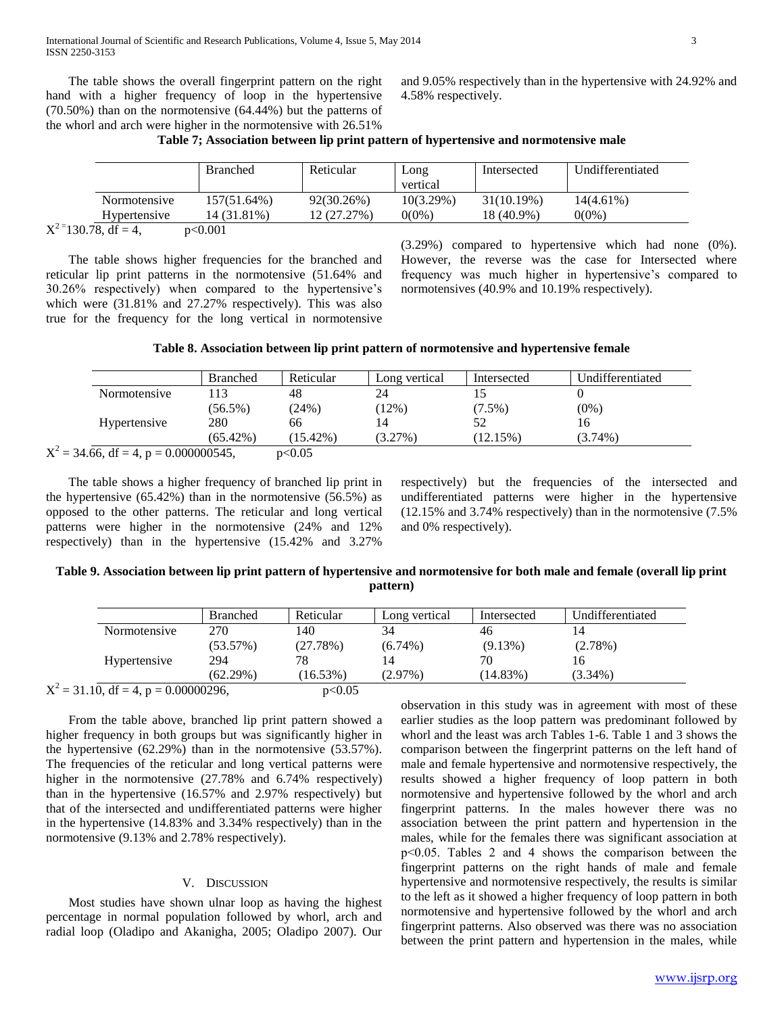The table shows the overall fingerprint pattern on the right hand with a higher frequency of loop in the hypertensive (70.50%) than on the normotensive (64.44%) but the patterns of the whorl and arch were higher in the normotensive with 26.51%

and 9.05% respectively than in the hypertensive with 24.92% and 4.58% respectively.

|  | Table 7; Association between lip print pattern of hypertensive and normotensive male |  |  |  |  |  |  |
|--|--------------------------------------------------------------------------------------|--|--|--|--|--|--|
|--|--------------------------------------------------------------------------------------|--|--|--|--|--|--|

|                          |              | <b>Branched</b> | Reticular   | Long         | Intersected   | Undifferentiated |
|--------------------------|--------------|-----------------|-------------|--------------|---------------|------------------|
|                          |              |                 |             | vertical     |               |                  |
|                          | Normotensive | 157(51.64%)     | 92(30.26%)  | $10(3.29\%)$ | $31(10.19\%)$ | $14(4.61\%)$     |
|                          | Hypertensive | 14 (31.81%)     | 12 (27.27%) | $0(0\%)$     | 18 (40.9%)    | $0(0\%)$         |
| $X^{2}=130.78$ , df = 4, |              | p<0.001         |             |              |               |                  |

 The table shows higher frequencies for the branched and reticular lip print patterns in the normotensive (51.64% and 30.26% respectively) when compared to the hypertensive's which were (31.81% and 27.27% respectively). This was also true for the frequency for the long vertical in normotensive (3.29%) compared to hypertensive which had none (0%). However, the reverse was the case for Intersected where frequency was much higher in hypertensive's compared to normotensives (40.9% and 10.19% respectively).

| Table 8. Association between lip print pattern of normotensive and hypertensive female |  |  |  |  |
|----------------------------------------------------------------------------------------|--|--|--|--|
|                                                                                        |  |  |  |  |

|                                     | <b>Branched</b> | Reticular   | Long vertical | Intersected | Undifferentiated |
|-------------------------------------|-----------------|-------------|---------------|-------------|------------------|
| Normotensive                        | 113             | 48          | 24            |             |                  |
|                                     | $(56.5\%)$      | (24%)       | $(12\%)$      | $(7.5\%)$   | $(0\%)$          |
| Hypertensive                        | 280             | 66          | 14            | 52          | 16               |
|                                     | $(65.42\%)$     | $(15.42\%)$ | $(3.27\%)$    | (12.15%)    | $(3.74\%)$       |
| $=$ 34.66, df = 4, p = 0.000000545, |                 | p<0.05      |               |             |                  |

 The table shows a higher frequency of branched lip print in the hypertensive  $(65.42\%)$  than in the normotensive  $(56.5\%)$  as opposed to the other patterns. The reticular and long vertical patterns were higher in the normotensive (24% and 12% respectively) than in the hypertensive (15.42% and 3.27%

 $\rm\,X}^2$ 

respectively) but the frequencies of the intersected and undifferentiated patterns were higher in the hypertensive (12.15% and 3.74% respectively) than in the normotensive (7.5% and 0% respectively).

**Table 9. Association between lip print pattern of hypertensive and normotensive for both male and female (overall lip print pattern)**

|                                         | <b>Branched</b> | Reticular   | Long vertical | Intersected | Undifferentiated |
|-----------------------------------------|-----------------|-------------|---------------|-------------|------------------|
| Normotensive                            | 270             | 140         | 34            | 46          | 14               |
|                                         | (53.57%)        | (27.78%)    | $(6.74\%)$    | $(9.13\%)$  | $(2.78\%)$       |
| Hypertensive                            | 294             | 78          |               | 70          | 16               |
|                                         | (62.29%)        | $(16.53\%)$ | $(2.97\%)$    | $(14.83\%)$ | $(3.34\%)$       |
| $X^2 = 31.10$ , df = 4, p = 0.00000296, |                 | p<0.05      |               |             |                  |

 From the table above, branched lip print pattern showed a higher frequency in both groups but was significantly higher in the hypertensive (62.29%) than in the normotensive (53.57%). The frequencies of the reticular and long vertical patterns were higher in the normotensive  $(27.78\%$  and  $6.74\%$  respectively) than in the hypertensive (16.57% and 2.97% respectively) but that of the intersected and undifferentiated patterns were higher in the hypertensive (14.83% and 3.34% respectively) than in the normotensive (9.13% and 2.78% respectively).

#### V. DISCUSSION

 Most studies have shown ulnar loop as having the highest percentage in normal population followed by whorl, arch and radial loop (Oladipo and Akanigha, 2005; Oladipo 2007). Our observation in this study was in agreement with most of these earlier studies as the loop pattern was predominant followed by whorl and the least was arch Tables 1-6. Table 1 and 3 shows the comparison between the fingerprint patterns on the left hand of male and female hypertensive and normotensive respectively, the results showed a higher frequency of loop pattern in both normotensive and hypertensive followed by the whorl and arch fingerprint patterns. In the males however there was no association between the print pattern and hypertension in the males, while for the females there was significant association at p˂0.05. Tables 2 and 4 shows the comparison between the fingerprint patterns on the right hands of male and female hypertensive and normotensive respectively, the results is similar to the left as it showed a higher frequency of loop pattern in both normotensive and hypertensive followed by the whorl and arch fingerprint patterns. Also observed was there was no association between the print pattern and hypertension in the males, while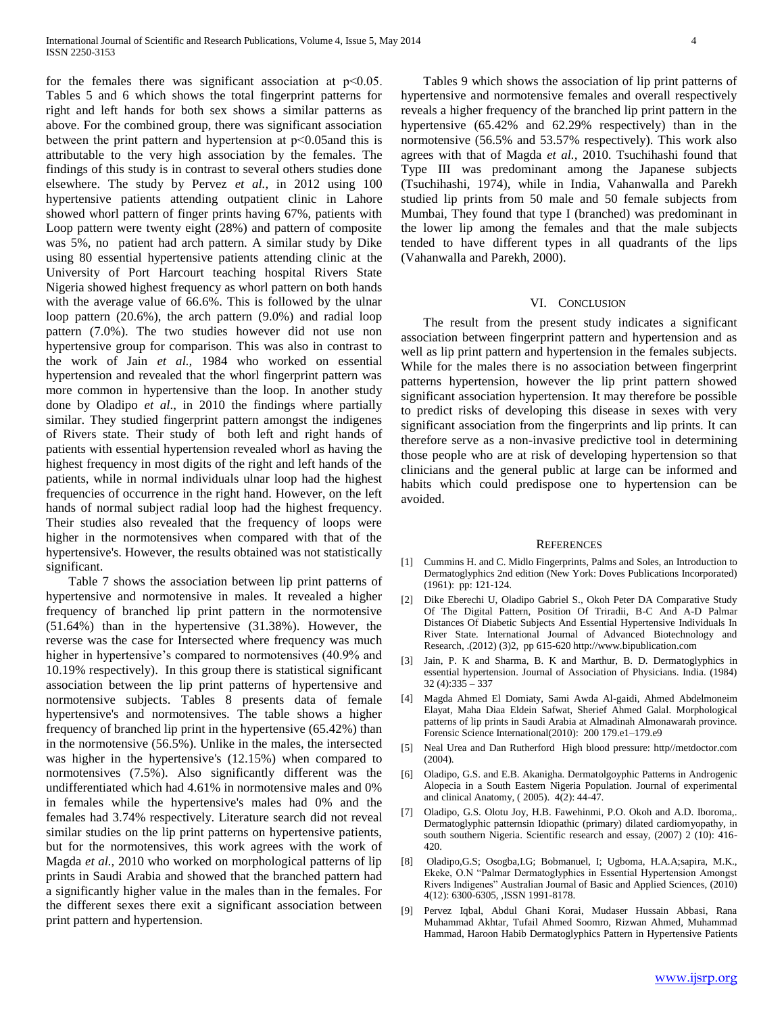for the females there was significant association at p˂0.05. Tables 5 and 6 which shows the total fingerprint patterns for right and left hands for both sex shows a similar patterns as above. For the combined group, there was significant association between the print pattern and hypertension at p˂0.05and this is attributable to the very high association by the females. The findings of this study is in contrast to several others studies done elsewhere. The study by Pervez *et al.,* in 2012 using 100 hypertensive patients attending outpatient clinic in Lahore showed whorl pattern of finger prints having 67%, patients with Loop pattern were twenty eight (28%) and pattern of composite was 5%, no patient had arch pattern. A similar study by Dike using 80 essential hypertensive patients attending clinic at the University of Port Harcourt teaching hospital Rivers State Nigeria showed highest frequency as whorl pattern on both hands with the average value of 66.6%. This is followed by the ulnar loop pattern (20.6%), the arch pattern (9.0%) and radial loop pattern (7.0%). The two studies however did not use non hypertensive group for comparison. This was also in contrast to the work of Jain *et al.,* 1984 who worked on essential hypertension and revealed that the whorl fingerprint pattern was more common in hypertensive than the loop. In another study done by Oladipo *et al*., in 2010 the findings where partially similar. They studied fingerprint pattern amongst the indigenes of Rivers state. Their study of both left and right hands of patients with essential hypertension revealed whorl as having the highest frequency in most digits of the right and left hands of the patients, while in normal individuals ulnar loop had the highest frequencies of occurrence in the right hand. However, on the left hands of normal subject radial loop had the highest frequency. Their studies also revealed that the frequency of loops were higher in the normotensives when compared with that of the hypertensive's. However, the results obtained was not statistically significant.

 Table 7 shows the association between lip print patterns of hypertensive and normotensive in males. It revealed a higher frequency of branched lip print pattern in the normotensive (51.64%) than in the hypertensive (31.38%). However, the reverse was the case for Intersected where frequency was much higher in hypertensive's compared to normotensives (40.9% and 10.19% respectively). In this group there is statistical significant association between the lip print patterns of hypertensive and normotensive subjects. Tables 8 presents data of female hypertensive's and normotensives. The table shows a higher frequency of branched lip print in the hypertensive (65.42%) than in the normotensive (56.5%). Unlike in the males, the intersected was higher in the hypertensive's (12.15%) when compared to normotensives (7.5%). Also significantly different was the undifferentiated which had 4.61% in normotensive males and 0% in females while the hypertensive's males had 0% and the females had 3.74% respectively. Literature search did not reveal similar studies on the lip print patterns on hypertensive patients, but for the normotensives, this work agrees with the work of Magda *et al.,* 2010 who worked on morphological patterns of lip prints in Saudi Arabia and showed that the branched pattern had a significantly higher value in the males than in the females. For the different sexes there exit a significant association between print pattern and hypertension.

 Tables 9 which shows the association of lip print patterns of hypertensive and normotensive females and overall respectively reveals a higher frequency of the branched lip print pattern in the hypertensive (65.42% and 62.29% respectively) than in the normotensive (56.5% and 53.57% respectively). This work also agrees with that of Magda *et al.,* 2010. Tsuchihashi found that Type III was predominant among the Japanese subjects (Tsuchihashi, 1974), while in India, Vahanwalla and Parekh studied lip prints from 50 male and 50 female subjects from Mumbai, They found that type I (branched) was predominant in the lower lip among the females and that the male subjects tended to have different types in all quadrants of the lips (Vahanwalla and Parekh, 2000).

#### VI. CONCLUSION

 The result from the present study indicates a significant association between fingerprint pattern and hypertension and as well as lip print pattern and hypertension in the females subjects. While for the males there is no association between fingerprint patterns hypertension, however the lip print pattern showed significant association hypertension. It may therefore be possible to predict risks of developing this disease in sexes with very significant association from the fingerprints and lip prints. It can therefore serve as a non-invasive predictive tool in determining those people who are at risk of developing hypertension so that clinicians and the general public at large can be informed and habits which could predispose one to hypertension can be avoided.

#### **REFERENCES**

- [1] Cummins H. and C. Midlo Fingerprints, Palms and Soles, an Introduction to Dermatoglyphics 2nd edition (New York: Doves Publications Incorporated) (1961): pp: 121-124.
- [2] Dike Eberechi U, Oladipo Gabriel S., Okoh Peter DA Comparative Study Of The Digital Pattern, Position Of Triradii, B-C And A-D Palmar Distances Of Diabetic Subjects And Essential Hypertensive Individuals In River State. International Journal of Advanced Biotechnology and Research, .(2012) (3)2, pp 615-620 http://www.bipublication.com
- [3] Jain, P. K and Sharma, B. K and Marthur, B. D. Dermatoglyphics in essential hypertension. Journal of Association of Physicians. India. (1984) 32 (4):335 – 337
- [4] Magda Ahmed El Domiaty, Sami Awda Al-gaidi, Ahmed Abdelmoneim Elayat, Maha Diaa Eldein Safwat, Sherief Ahmed Galal. Morphological patterns of lip prints in Saudi Arabia at Almadinah Almonawarah province. Forensic Science International(2010): 200 179.e1–179.e9
- [5] Neal Urea and Dan Rutherford High blood pressure: http//metdoctor.com (2004).
- [6] Oladipo, G.S. and E.B. Akanigha. Dermatolgoyphic Patterns in Androgenic Alopecia in a South Eastern Nigeria Population. Journal of experimental and clinical Anatomy, ( 2005). 4(2): 44-47.
- [7] Oladipo, G.S. Olotu Joy, H.B. Fawehinmi, P.O. Okoh and A.D. Iboroma,. Dermatoglyphic patternsin Idiopathic (primary) dilated cardiomyopathy, in south southern Nigeria. Scientific research and essay, (2007) 2 (10): 416- 420.
- [8] Oladipo,G.S; Osogba,I.G; Bobmanuel, I; Ugboma, H.A.A;sapira, M.K., Ekeke, O.N "Palmar Dermatoglyphics in Essential Hypertension Amongst Rivers Indigenes" Australian Journal of Basic and Applied Sciences, (2010) 4(12): 6300-6305, ,ISSN 1991-8178.
- [9] Pervez Iqbal, Abdul Ghani Korai, Mudaser Hussain Abbasi, Rana Muhammad Akhtar, Tufail Ahmed Soomro, Rizwan Ahmed, Muhammad Hammad, Haroon Habib Dermatoglyphics Pattern in Hypertensive Patients